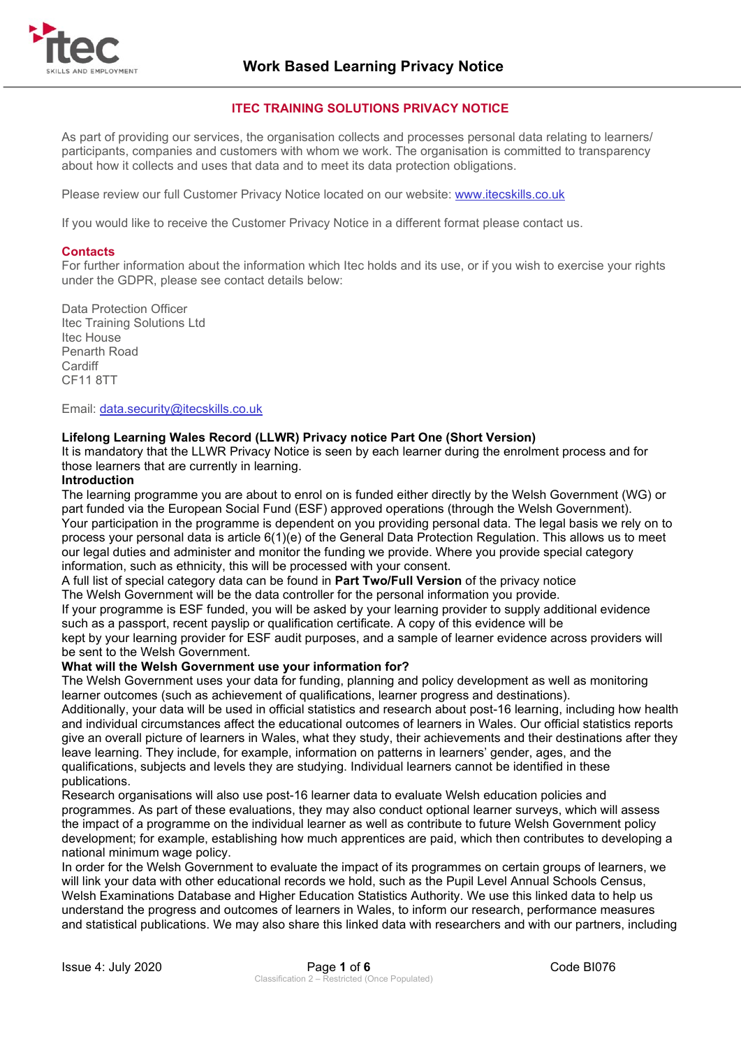

#### **ITEC TRAINING SOLUTIONS PRIVACY NOTICE**

As part of providing our services, the organisation collects and processes personal data relating to learners/ participants, companies and customers with whom we work. The organisation is committed to transparency about how it collects and uses that data and to meet its data protection obligations.

Please review our full Customer Privacy Notice located on our website: [www.itecskills.co.uk](http://www.itecskills.co.uk/)

If you would like to receive the Customer Privacy Notice in a different format please contact us.

#### **Contacts**

For further information about the information which Itec holds and its use, or if you wish to exercise your rights under the GDPR, please see contact details below:

Data Protection Officer Itec Training Solutions Ltd Itec House Penarth Road **Cardiff** CF11 8TT

Email: [data.security@itecskills.co.uk](mailto:data.security@itecskills.co.uk)

#### **Lifelong Learning Wales Record (LLWR) Privacy notice Part One (Short Version)**

It is mandatory that the LLWR Privacy Notice is seen by each learner during the enrolment process and for those learners that are currently in learning.

#### **Introduction**

The learning programme you are about to enrol on is funded either directly by the Welsh Government (WG) or part funded via the European Social Fund (ESF) approved operations (through the Welsh Government). Your participation in the programme is dependent on you providing personal data. The legal basis we rely on to process your personal data is article 6(1)(e) of the General Data Protection Regulation. This allows us to meet our legal duties and administer and monitor the funding we provide. Where you provide special category information, such as ethnicity, this will be processed with your consent.

A full list of special category data can be found in **Part Two/Full Version** of the privacy notice The Welsh Government will be the data controller for the personal information you provide.

If your programme is ESF funded, you will be asked by your learning provider to supply additional evidence such as a passport, recent payslip or qualification certificate. A copy of this evidence will be kept by your learning provider for ESF audit purposes, and a sample of learner evidence across providers will be sent to the Welsh Government.

#### **What will the Welsh Government use your information for?**

The Welsh Government uses your data for funding, planning and policy development as well as monitoring learner outcomes (such as achievement of qualifications, learner progress and destinations).

Additionally, your data will be used in official statistics and research about post-16 learning, including how health and individual circumstances affect the educational outcomes of learners in Wales. Our official statistics reports give an overall picture of learners in Wales, what they study, their achievements and their destinations after they leave learning. They include, for example, information on patterns in learners' gender, ages, and the qualifications, subjects and levels they are studying. Individual learners cannot be identified in these publications.

Research organisations will also use post-16 learner data to evaluate Welsh education policies and programmes. As part of these evaluations, they may also conduct optional learner surveys, which will assess the impact of a programme on the individual learner as well as contribute to future Welsh Government policy development; for example, establishing how much apprentices are paid, which then contributes to developing a national minimum wage policy.

In order for the Welsh Government to evaluate the impact of its programmes on certain groups of learners, we will link your data with other educational records we hold, such as the Pupil Level Annual Schools Census, Welsh Examinations Database and Higher Education Statistics Authority. We use this linked data to help us understand the progress and outcomes of learners in Wales, to inform our research, performance measures and statistical publications. We may also share this linked data with researchers and with our partners, including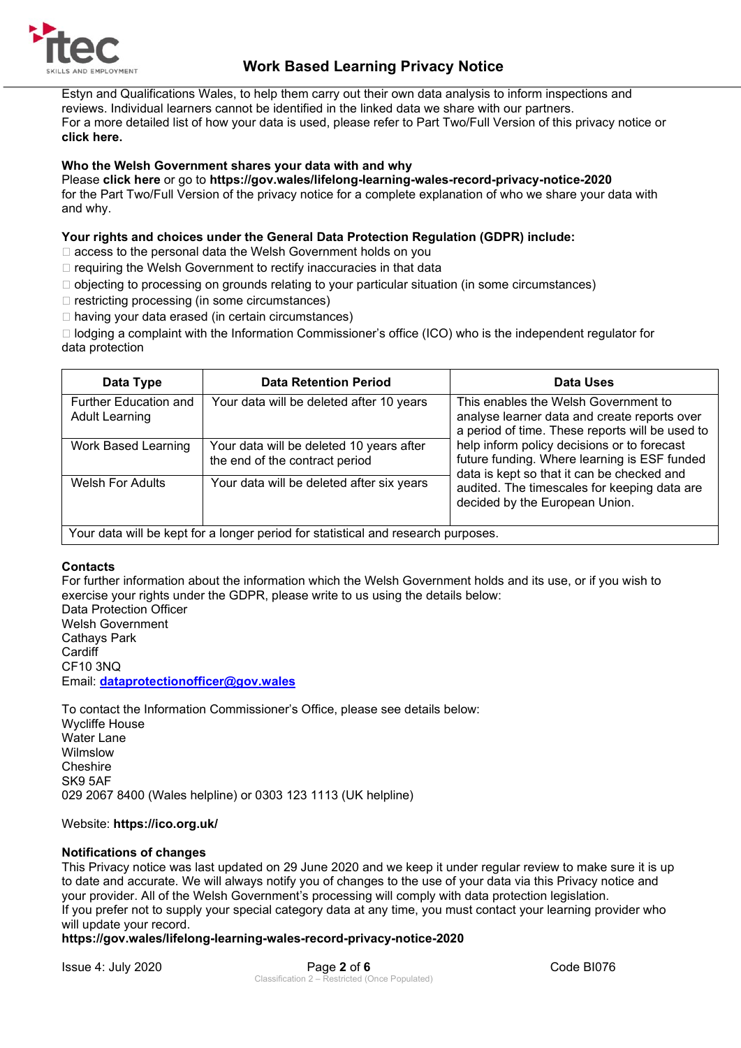

Estyn and Qualifications Wales, to help them carry out their own data analysis to inform inspections and reviews. Individual learners cannot be identified in the linked data we share with our partners. For a more detailed list of how your data is used, please refer to Part Two/Full Version of this privacy notice or **click here.** 

#### **Who the Welsh Government shares your data with and why**

Please **click here** or go to **https://gov.wales/lifelong-learning-wales-record-privacy-notice-2020**  for the Part Two/Full Version of the privacy notice for a complete explanation of who we share your data with and why.

#### **Your rights and choices under the General Data Protection Regulation (GDPR) include:**

- □ access to the personal data the Welsh Government holds on you
- $\Box$  requiring the Welsh Government to rectify inaccuracies in that data
- $\Box$  objecting to processing on grounds relating to your particular situation (in some circumstances)
- $\Box$  restricting processing (in some circumstances)
- $\Box$  having your data erased (in certain circumstances)

□ lodging a complaint with the Information Commissioner's office (ICO) who is the independent regulator for data protection

| Data Type                                      | <b>Data Retention Period</b>                                               | Data Uses                                                                                                                                                          |  |  |
|------------------------------------------------|----------------------------------------------------------------------------|--------------------------------------------------------------------------------------------------------------------------------------------------------------------|--|--|
| Further Education and<br><b>Adult Learning</b> | Your data will be deleted after 10 years                                   | This enables the Welsh Government to<br>analyse learner data and create reports over<br>a period of time. These reports will be used to                            |  |  |
| <b>Work Based Learning</b>                     | Your data will be deleted 10 years after<br>the end of the contract period | help inform policy decisions or to forecast<br>future funding. Where learning is ESF funded<br>data is kept so that it can be checked and                          |  |  |
| <b>Welsh For Adults</b>                        | Your data will be deleted after six years                                  | audited. The timescales for keeping data are<br>decided by the European Union.<br>Vour data will be kept fer a lenger period for atotictical and research purposes |  |  |

Your data will be kept for a longer period for statistical and research purposes.

#### **Contacts**

For further information about the information which the Welsh Government holds and its use, or if you wish to exercise your rights under the GDPR, please write to us using the details below:

Data Protection Officer Welsh Government Cathays Park **Cardiff** CF10 3NQ Email: **[dataprotectionofficer@gov.wales](mailto:dataprotectionofficer@gov.wales)**

To contact the Information Commissioner's Office, please see details below: Wycliffe House Water Lane Wilmslow Cheshire SK9 5AF 029 2067 8400 (Wales helpline) or 0303 123 1113 (UK helpline)

#### Website: **https://ico.org.uk/**

#### **Notifications of changes**

This Privacy notice was last updated on 29 June 2020 and we keep it under regular review to make sure it is up to date and accurate. We will always notify you of changes to the use of your data via this Privacy notice and your provider. All of the Welsh Government's processing will comply with data protection legislation. If you prefer not to supply your special category data at any time, you must contact your learning provider who will update your record.

#### **https://gov.wales/lifelong-learning-wales-record-privacy-notice-2020**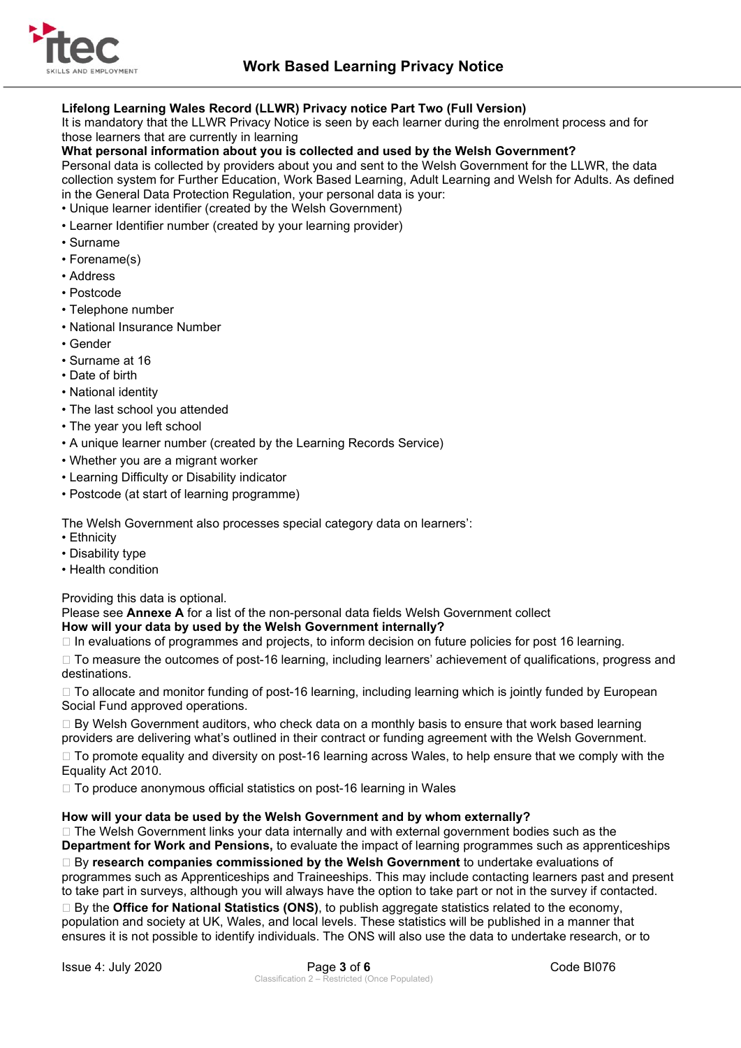

#### **Lifelong Learning Wales Record (LLWR) Privacy notice Part Two (Full Version)**

It is mandatory that the LLWR Privacy Notice is seen by each learner during the enrolment process and for those learners that are currently in learning

#### **What personal information about you is collected and used by the Welsh Government?**

Personal data is collected by providers about you and sent to the Welsh Government for the LLWR, the data collection system for Further Education, Work Based Learning, Adult Learning and Welsh for Adults. As defined in the General Data Protection Regulation, your personal data is your:

- Unique learner identifier (created by the Welsh Government)
- Learner Identifier number (created by your learning provider)
- Surname
- Forename(s)
- Address
- Postcode
- Telephone number
- National Insurance Number
- Gender
- Surname at 16
- Date of birth
- National identity
- The last school you attended
- The year you left school
- A unique learner number (created by the Learning Records Service)
- Whether you are a migrant worker
- Learning Difficulty or Disability indicator
- Postcode (at start of learning programme)

The Welsh Government also processes special category data on learners':

- Ethnicity
- Disability type
- Health condition

Providing this data is optional.

Please see **Annexe A** for a list of the non-personal data fields Welsh Government collect

#### **How will your data by used by the Welsh Government internally?**

 $\Box$  In evaluations of programmes and projects, to inform decision on future policies for post 16 learning.

□ To measure the outcomes of post-16 learning, including learners' achievement of qualifications, progress and destinations.

□ To allocate and monitor funding of post-16 learning, including learning which is jointly funded by European Social Fund approved operations.

 $\Box$  By Welsh Government auditors, who check data on a monthly basis to ensure that work based learning providers are delivering what's outlined in their contract or funding agreement with the Welsh Government.

□ To promote equality and diversity on post-16 learning across Wales, to help ensure that we comply with the Equality Act 2010.

 $\Box$  To produce anonymous official statistics on post-16 learning in Wales

#### **How will your data be used by the Welsh Government and by whom externally?**

 $\Box$  The Welsh Government links your data internally and with external government bodies such as the **Department for Work and Pensions,** to evaluate the impact of learning programmes such as apprenticeships By **research companies commissioned by the Welsh Government** to undertake evaluations of programmes such as Apprenticeships and Traineeships. This may include contacting learners past and present to take part in surveys, although you will always have the option to take part or not in the survey if contacted. By the **Office for National Statistics (ONS)**, to publish aggregate statistics related to the economy, population and society at UK, Wales, and local levels. These statistics will be published in a manner that

ensures it is not possible to identify individuals. The ONS will also use the data to undertake research, or to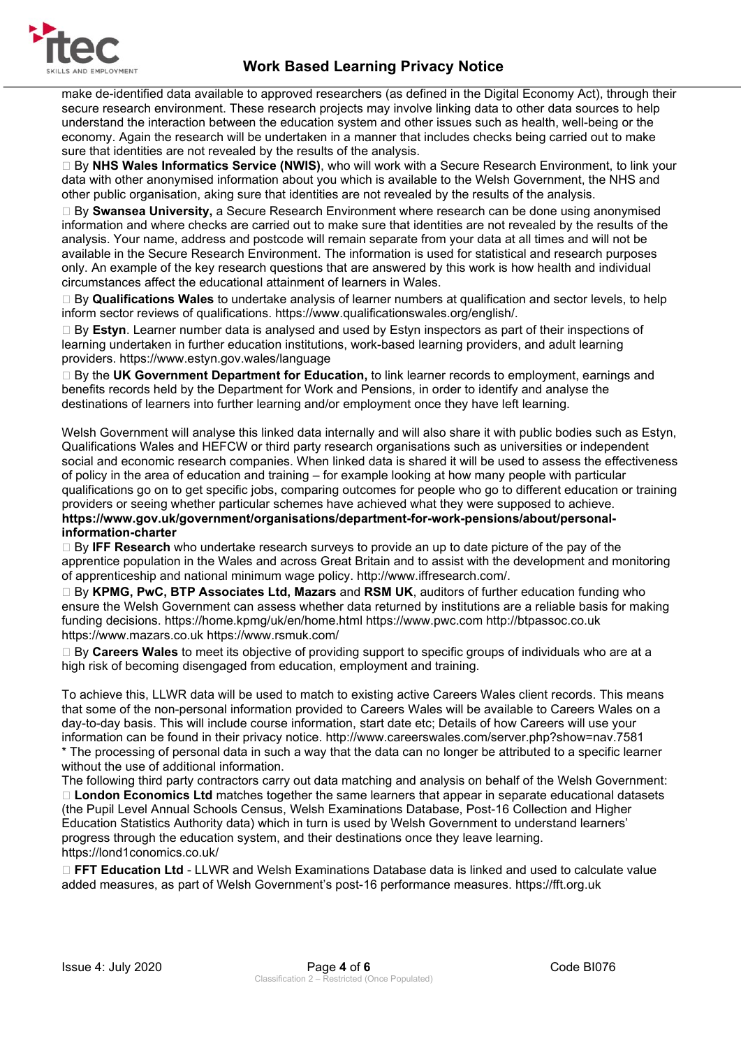

make de-identified data available to approved researchers (as defined in the Digital Economy Act), through their secure research environment. These research projects may involve linking data to other data sources to help understand the interaction between the education system and other issues such as health, well-being or the economy. Again the research will be undertaken in a manner that includes checks being carried out to make sure that identities are not revealed by the results of the analysis.

 By **NHS Wales Informatics Service (NWIS)**, who will work with a Secure Research Environment, to link your data with other anonymised information about you which is available to the Welsh Government, the NHS and other public organisation, aking sure that identities are not revealed by the results of the analysis.

 By **Swansea University,** a Secure Research Environment where research can be done using anonymised information and where checks are carried out to make sure that identities are not revealed by the results of the analysis. Your name, address and postcode will remain separate from your data at all times and will not be available in the Secure Research Environment. The information is used for statistical and research purposes only. An example of the key research questions that are answered by this work is how health and individual circumstances affect the educational attainment of learners in Wales.

 By **Qualifications Wales** to undertake analysis of learner numbers at qualification and sector levels, to help inform sector reviews of qualifications. https://www.qualificationswales.org/english/.

 By **Estyn**. Learner number data is analysed and used by Estyn inspectors as part of their inspections of learning undertaken in further education institutions, work-based learning providers, and adult learning providers. https://www.estyn.gov.wales/language

□ By the UK Government Department for Education, to link learner records to employment, earnings and benefits records held by the Department for Work and Pensions, in order to identify and analyse the destinations of learners into further learning and/or employment once they have left learning.

Welsh Government will analyse this linked data internally and will also share it with public bodies such as Estyn, Qualifications Wales and HEFCW or third party research organisations such as universities or independent social and economic research companies. When linked data is shared it will be used to assess the effectiveness of policy in the area of education and training – for example looking at how many people with particular qualifications go on to get specific jobs, comparing outcomes for people who go to different education or training providers or seeing whether particular schemes have achieved what they were supposed to achieve. **https://www.gov.uk/government/organisations/department-for-work-pensions/about/personal-**

**information-charter** 

 By **IFF Research** who undertake research surveys to provide an up to date picture of the pay of the apprentice population in the Wales and across Great Britain and to assist with the development and monitoring of apprenticeship and national minimum wage policy. http://www.iffresearch.com/.

 By **KPMG, PwC, BTP Associates Ltd, Mazars** and **RSM UK**, auditors of further education funding who ensure the Welsh Government can assess whether data returned by institutions are a reliable basis for making funding decisions. https://home.kpmg/uk/en/home.html https://www.pwc.com http://btpassoc.co.uk https://www.mazars.co.uk https://www.rsmuk.com/

 By **Careers Wales** to meet its objective of providing support to specific groups of individuals who are at a high risk of becoming disengaged from education, employment and training.

To achieve this, LLWR data will be used to match to existing active Careers Wales client records. This means that some of the non-personal information provided to Careers Wales will be available to Careers Wales on a day-to-day basis. This will include course information, start date etc; Details of how Careers will use your information can be found in their privacy notice. http://www.careerswales.com/server.php?show=nav.7581 \* The processing of personal data in such a way that the data can no longer be attributed to a specific learner without the use of additional information.

The following third party contractors carry out data matching and analysis on behalf of the Welsh Government: **London Economics Ltd** matches together the same learners that appear in separate educational datasets (the Pupil Level Annual Schools Census, Welsh Examinations Database, Post-16 Collection and Higher Education Statistics Authority data) which in turn is used by Welsh Government to understand learners' progress through the education system, and their destinations once they leave learning. https://lond1conomics.co.uk/

 **FFT Education Ltd** - LLWR and Welsh Examinations Database data is linked and used to calculate value added measures, as part of Welsh Government's post-16 performance measures. https://fft.org.uk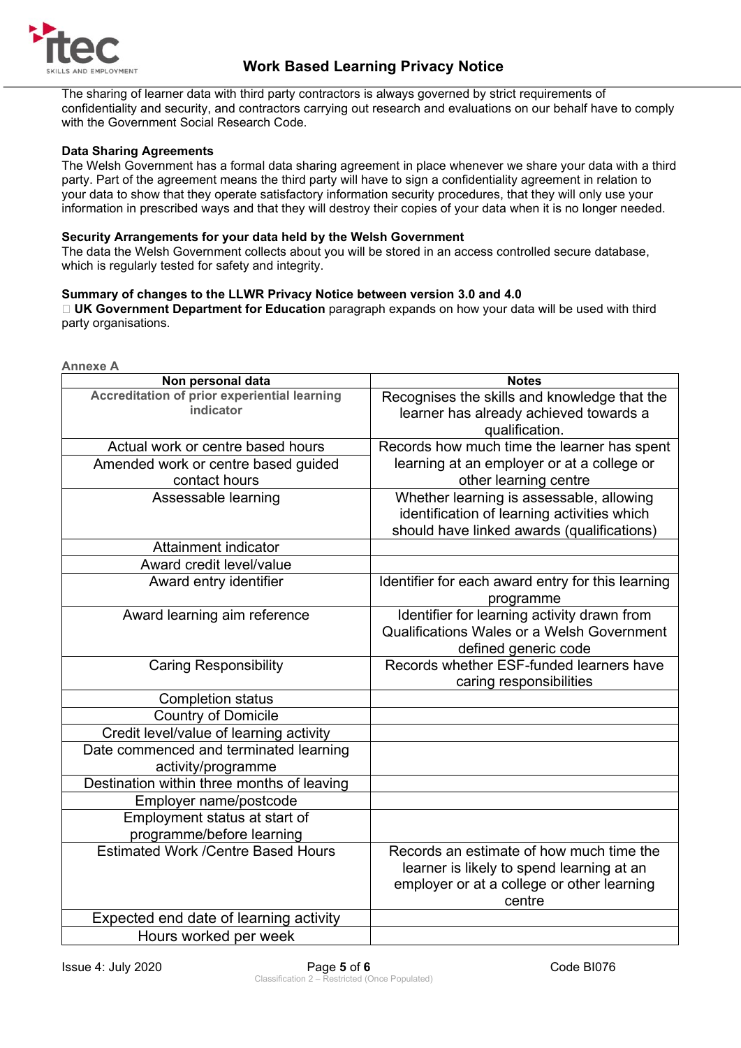

The sharing of learner data with third party contractors is always governed by strict requirements of confidentiality and security, and contractors carrying out research and evaluations on our behalf have to comply with the Government Social Research Code.

#### **Data Sharing Agreements**

The Welsh Government has a formal data sharing agreement in place whenever we share your data with a third party. Part of the agreement means the third party will have to sign a confidentiality agreement in relation to your data to show that they operate satisfactory information security procedures, that they will only use your information in prescribed ways and that they will destroy their copies of your data when it is no longer needed.

#### **Security Arrangements for your data held by the Welsh Government**

The data the Welsh Government collects about you will be stored in an access controlled secure database, which is regularly tested for safety and integrity.

#### **Summary of changes to the LLWR Privacy Notice between version 3.0 and 4.0**

 **UK Government Department for Education** paragraph expands on how your data will be used with third party organisations.

| <b>Annexe A</b>                                           |                                                                                                                                       |  |  |  |  |
|-----------------------------------------------------------|---------------------------------------------------------------------------------------------------------------------------------------|--|--|--|--|
| Non personal data                                         | <b>Notes</b>                                                                                                                          |  |  |  |  |
| Accreditation of prior experiential learning<br>indicator | Recognises the skills and knowledge that the                                                                                          |  |  |  |  |
|                                                           | learner has already achieved towards a<br>qualification.                                                                              |  |  |  |  |
| Actual work or centre based hours                         | Records how much time the learner has spent                                                                                           |  |  |  |  |
| Amended work or centre based guided                       | learning at an employer or at a college or                                                                                            |  |  |  |  |
| contact hours                                             | other learning centre                                                                                                                 |  |  |  |  |
| Assessable learning                                       | Whether learning is assessable, allowing<br>identification of learning activities which<br>should have linked awards (qualifications) |  |  |  |  |
| Attainment indicator                                      |                                                                                                                                       |  |  |  |  |
| Award credit level/value                                  |                                                                                                                                       |  |  |  |  |
| Award entry identifier                                    | Identifier for each award entry for this learning<br>programme                                                                        |  |  |  |  |
| Award learning aim reference                              | Identifier for learning activity drawn from<br><b>Qualifications Wales or a Welsh Government</b><br>defined generic code              |  |  |  |  |
| <b>Caring Responsibility</b>                              | Records whether ESF-funded learners have<br>caring responsibilities                                                                   |  |  |  |  |
| <b>Completion status</b>                                  |                                                                                                                                       |  |  |  |  |
| <b>Country of Domicile</b>                                |                                                                                                                                       |  |  |  |  |
| Credit level/value of learning activity                   |                                                                                                                                       |  |  |  |  |
| Date commenced and terminated learning                    |                                                                                                                                       |  |  |  |  |
| activity/programme                                        |                                                                                                                                       |  |  |  |  |
| Destination within three months of leaving                |                                                                                                                                       |  |  |  |  |
| Employer name/postcode                                    |                                                                                                                                       |  |  |  |  |
| Employment status at start of                             |                                                                                                                                       |  |  |  |  |
| programme/before learning                                 |                                                                                                                                       |  |  |  |  |
| <b>Estimated Work /Centre Based Hours</b>                 | Records an estimate of how much time the                                                                                              |  |  |  |  |
|                                                           | learner is likely to spend learning at an                                                                                             |  |  |  |  |
|                                                           | employer or at a college or other learning<br>centre                                                                                  |  |  |  |  |
| Expected end date of learning activity                    |                                                                                                                                       |  |  |  |  |
| Hours worked per week                                     |                                                                                                                                       |  |  |  |  |
|                                                           |                                                                                                                                       |  |  |  |  |